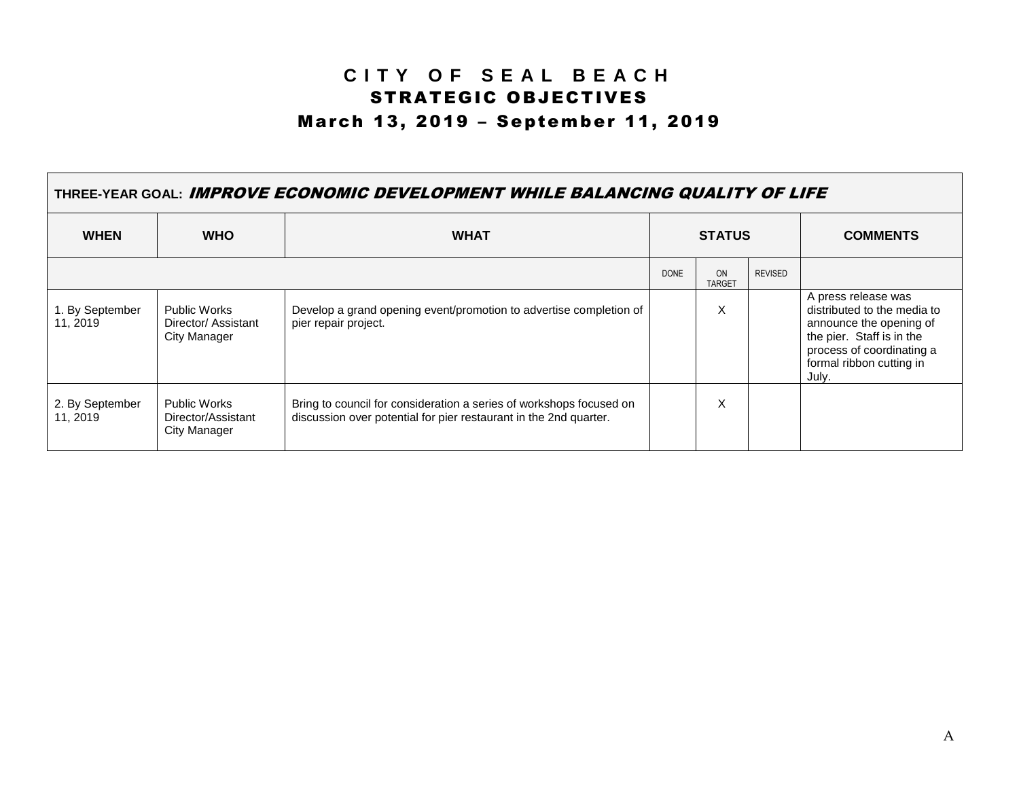## **C I T Y O F S E A L B E A C H** STRATEGIC OBJECTIVES March 13, 2019 – September 11, 2019

| THREE-YEAR GOAL: IMPROVE ECONOMIC DEVELOPMENT WHILE BALANCING QUALITY OF LIFE |                                                    |                                                                                                                                          |               |                     |                |                                                                                                                                                                              |  |
|-------------------------------------------------------------------------------|----------------------------------------------------|------------------------------------------------------------------------------------------------------------------------------------------|---------------|---------------------|----------------|------------------------------------------------------------------------------------------------------------------------------------------------------------------------------|--|
| <b>WHEN</b>                                                                   | <b>WHO</b>                                         | <b>WHAT</b>                                                                                                                              | <b>STATUS</b> |                     |                | <b>COMMENTS</b>                                                                                                                                                              |  |
|                                                                               |                                                    |                                                                                                                                          | <b>DONE</b>   | ON<br><b>TARGET</b> | <b>REVISED</b> |                                                                                                                                                                              |  |
| 1. By September<br>11, 2019                                                   | Public Works<br>Director/Assistant<br>City Manager | Develop a grand opening event/promotion to advertise completion of<br>pier repair project.                                               |               | X                   |                | A press release was<br>distributed to the media to<br>announce the opening of<br>the pier. Staff is in the<br>process of coordinating a<br>formal ribbon cutting in<br>July. |  |
| 2. By September<br>11, 2019                                                   | Public Works<br>Director/Assistant<br>City Manager | Bring to council for consideration a series of workshops focused on<br>discussion over potential for pier restaurant in the 2nd quarter. |               | X                   |                |                                                                                                                                                                              |  |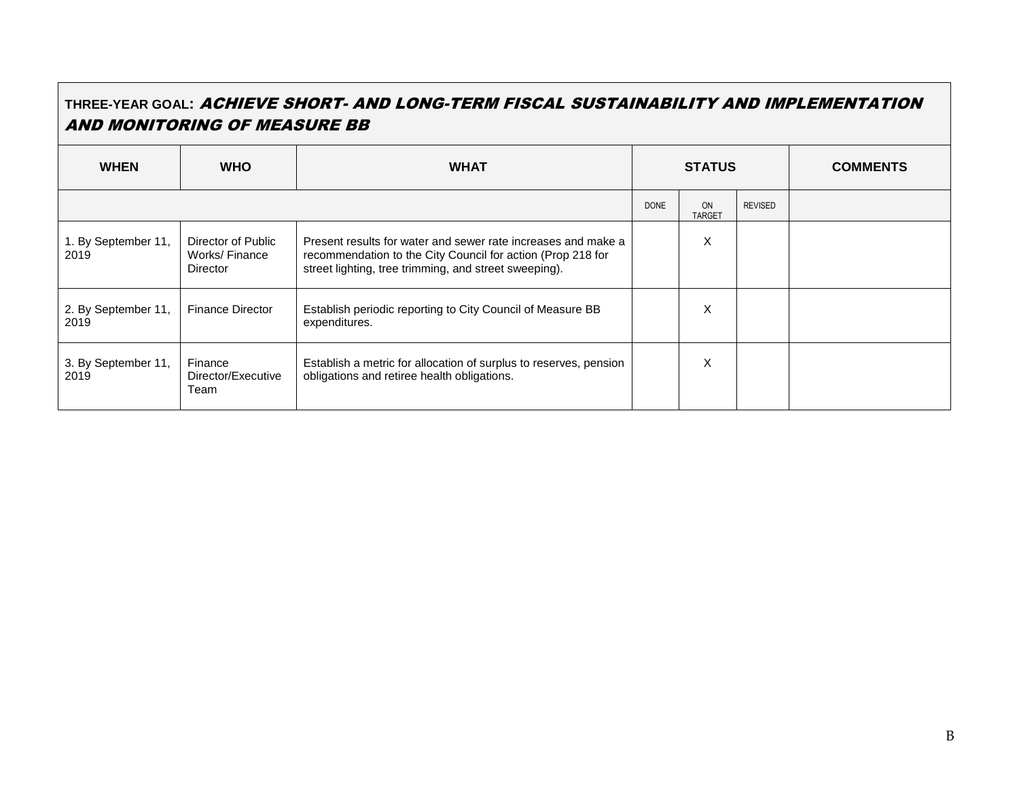## **THREE-YEAR GOAL:** ACHIEVE SHORT- AND LONG-TERM FISCAL SUSTAINABILITY AND IMPLEMENTATION AND MONITORING OF MEASURE BB

| <b>WHEN</b>                 | <b>WHO</b>                                             | <b>WHAT</b>                                                                                                                                                                           |             | <b>STATUS</b>       |                | <b>COMMENTS</b> |
|-----------------------------|--------------------------------------------------------|---------------------------------------------------------------------------------------------------------------------------------------------------------------------------------------|-------------|---------------------|----------------|-----------------|
|                             |                                                        |                                                                                                                                                                                       | <b>DONE</b> | ON<br><b>TARGET</b> | <b>REVISED</b> |                 |
| 1. By September 11,<br>2019 | Director of Public<br>Works/Finance<br><b>Director</b> | Present results for water and sewer rate increases and make a<br>recommendation to the City Council for action (Prop 218 for<br>street lighting, tree trimming, and street sweeping). |             | X                   |                |                 |
| 2. By September 11,<br>2019 | <b>Finance Director</b>                                | Establish periodic reporting to City Council of Measure BB<br>expenditures.                                                                                                           |             | X                   |                |                 |
| 3. By September 11,<br>2019 | Finance<br>Director/Executive<br>Team                  | Establish a metric for allocation of surplus to reserves, pension<br>obligations and retiree health obligations.                                                                      |             | X                   |                |                 |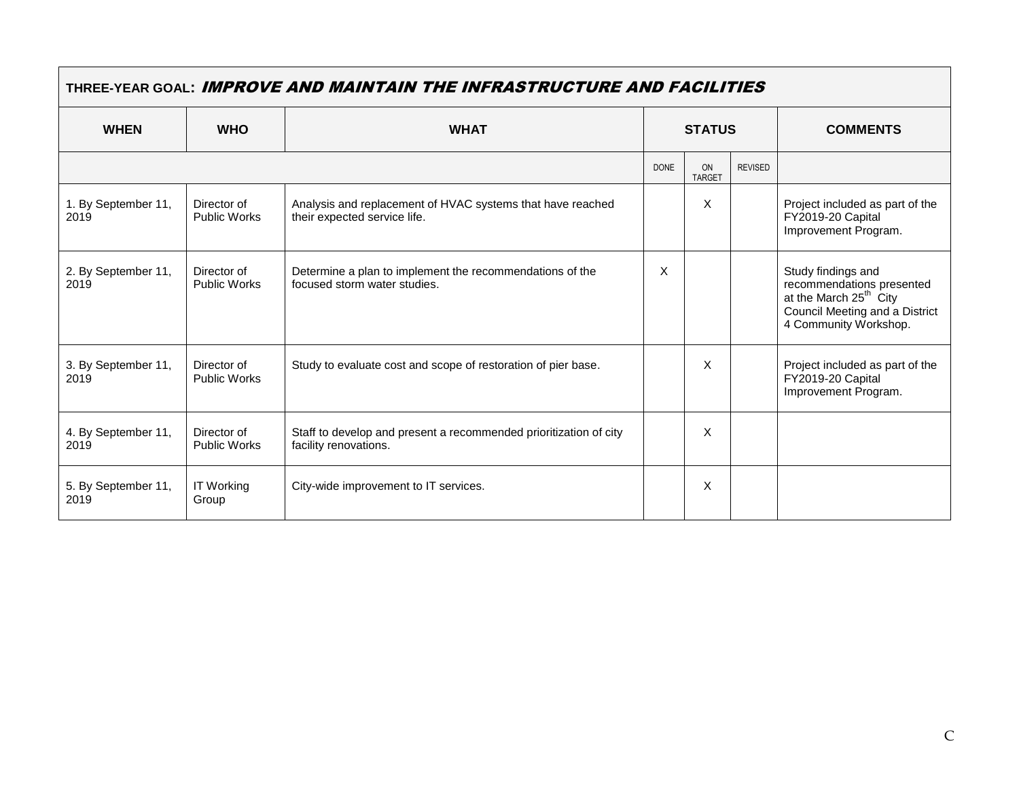| THREE-YEAR GOAL: IMPROVE AND MAINTAIN THE INFRASTRUCTURE AND FACILITIES |                                    |                                                                                            |               |                     |                |                                                                                                                                                  |
|-------------------------------------------------------------------------|------------------------------------|--------------------------------------------------------------------------------------------|---------------|---------------------|----------------|--------------------------------------------------------------------------------------------------------------------------------------------------|
| <b>WHEN</b>                                                             | <b>WHO</b>                         | <b>WHAT</b>                                                                                | <b>STATUS</b> |                     |                | <b>COMMENTS</b>                                                                                                                                  |
|                                                                         |                                    |                                                                                            | <b>DONE</b>   | ON<br><b>TARGET</b> | <b>REVISED</b> |                                                                                                                                                  |
| 1. By September 11,<br>2019                                             | Director of<br><b>Public Works</b> | Analysis and replacement of HVAC systems that have reached<br>their expected service life. |               | X                   |                | Project included as part of the<br>FY2019-20 Capital<br>Improvement Program.                                                                     |
| 2. By September 11,<br>2019                                             | Director of<br><b>Public Works</b> | Determine a plan to implement the recommendations of the<br>focused storm water studies.   | X             |                     |                | Study findings and<br>recommendations presented<br>at the March 25 <sup>th</sup> City<br>Council Meeting and a District<br>4 Community Workshop. |
| 3. By September 11,<br>2019                                             | Director of<br><b>Public Works</b> | Study to evaluate cost and scope of restoration of pier base.                              |               | X                   |                | Project included as part of the<br>FY2019-20 Capital<br>Improvement Program.                                                                     |
| 4. By September 11,<br>2019                                             | Director of<br><b>Public Works</b> | Staff to develop and present a recommended prioritization of city<br>facility renovations. |               | X                   |                |                                                                                                                                                  |
| 5. By September 11,<br>2019                                             | <b>IT Working</b><br>Group         | City-wide improvement to IT services.                                                      |               | X                   |                |                                                                                                                                                  |

 $\overline{\phantom{0}}$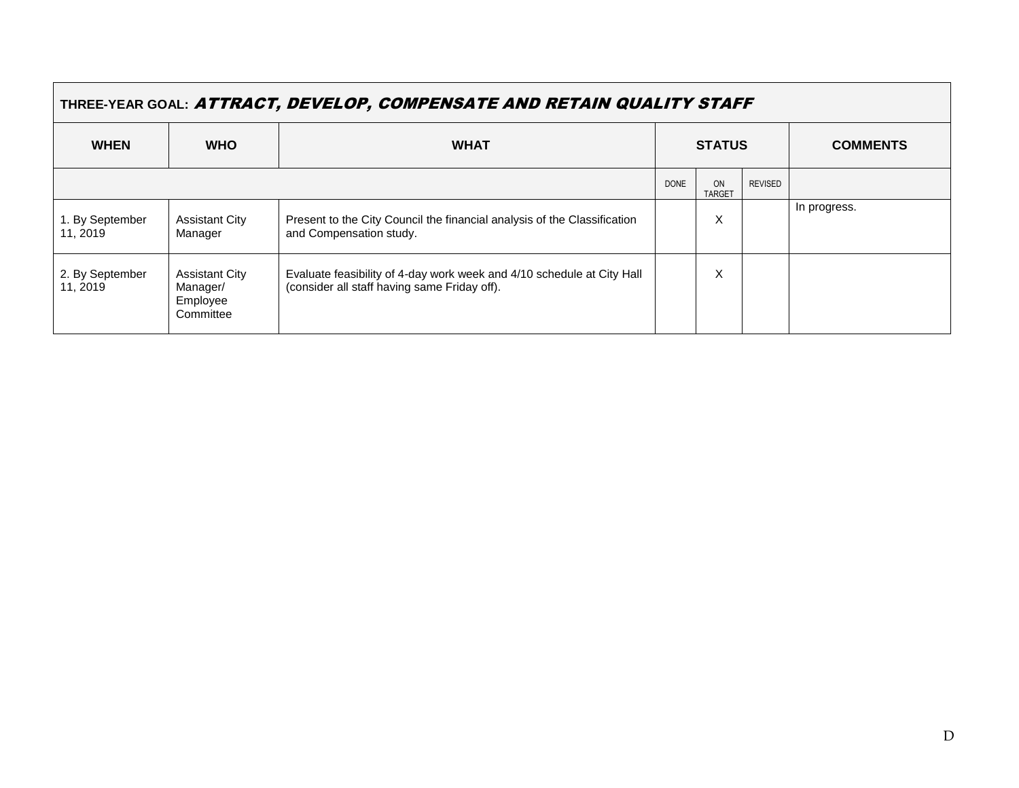| THREE-YEAR GOAL: ATTRACT, DEVELOP, COMPENSATE AND RETAIN QUALITY STAFF |                                                            |                                                                                                                        |               |                     |                |                 |
|------------------------------------------------------------------------|------------------------------------------------------------|------------------------------------------------------------------------------------------------------------------------|---------------|---------------------|----------------|-----------------|
| <b>WHEN</b>                                                            | <b>WHO</b>                                                 | <b>WHAT</b>                                                                                                            | <b>STATUS</b> |                     |                | <b>COMMENTS</b> |
|                                                                        |                                                            |                                                                                                                        | <b>DONE</b>   | ON<br><b>TARGET</b> | <b>REVISED</b> |                 |
| 1. By September<br>11, 2019                                            | <b>Assistant City</b><br>Manager                           | Present to the City Council the financial analysis of the Classification<br>and Compensation study.                    |               | Χ                   |                | In progress.    |
| 2. By September<br>11, 2019                                            | <b>Assistant City</b><br>Manager/<br>Employee<br>Committee | Evaluate feasibility of 4-day work week and 4/10 schedule at City Hall<br>(consider all staff having same Friday off). |               | X                   |                |                 |

 $\Box$